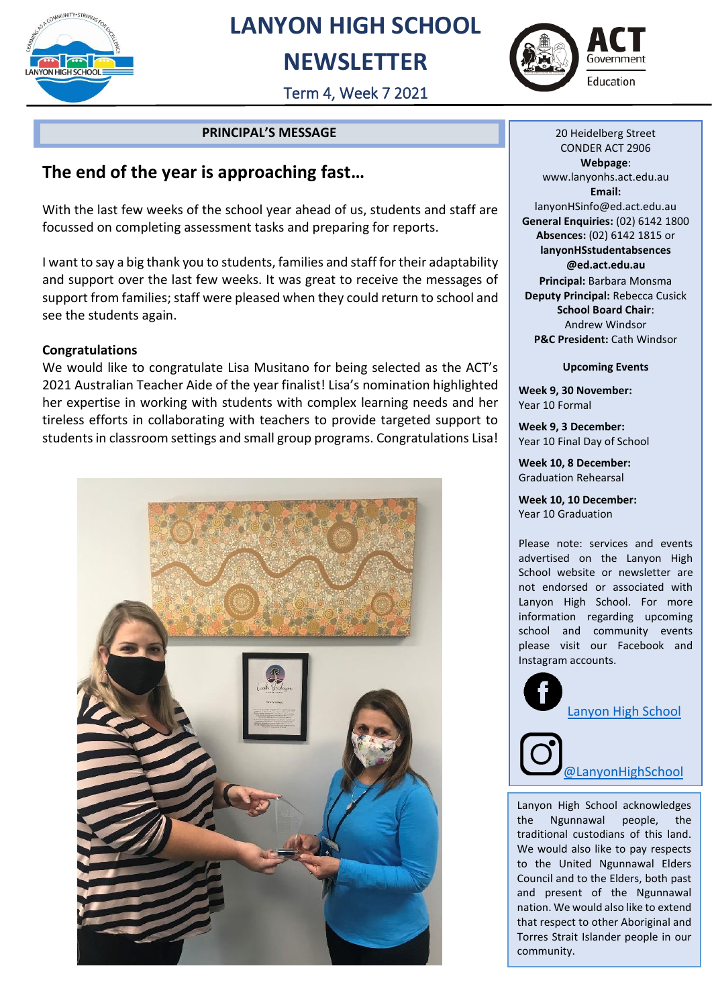

## **LANYON HIGH SCHOOL**

## **NEWSLETTER**





#### **PRINCIPAL'S MESSAGE**

### **The end of the year is approaching fast…**

With the last few weeks of the school year ahead of us, students and staff are focussed on completing assessment tasks and preparing for reports.

I want to say a big thank you to students, families and staff for their adaptability and support over the last few weeks. It was great to receive the messages of support from families; staff were pleased when they could return to school and see the students again.

#### **Congratulations**

We would like to congratulate Lisa Musitano for being selected as the ACT's 2021 Australian Teacher Aide of the year finalist! Lisa's nomination highlighted her expertise in working with students with complex learning needs and her tireless efforts in collaborating with teachers to provide targeted support to students in classroom settings and small group programs. Congratulations Lisa!



20 Heidelberg Street CONDER ACT 2906 **Webpage**: www.lanyonhs.act.edu.au **Email:**  lanyonHSinfo@ed.act.edu.au **General Enquiries:** (02) 6142 1800 **Absences:** (02) 6142 1815 or **lanyonHSstudentabsences @ed.act.edu.au Principal:** Barbara Monsma **Deputy Principal:** Rebecca Cusick **School Board Chair**: Andrew Windsor **P&C President:** Cath Windsor

**Upcoming Events**

**Week 9, 30 November:** Year 10 Formal

**Week 9, 3 December:** Year 10 Final Day of School

**Week 10, 8 December:** Graduation Rehearsal

**Week 10, 10 December:** Year 10 Graduation

Please note: services and events advertised on the Lanyon High School website or newsletter are not endorsed or associated with Lanyon High School. For more information regarding upcoming school and community events please visit our Facebook and Instagram accounts.



Lanyon High School acknowledges the Ngunnawal people, the traditional custodians of this land. We would also like to pay respects to the United Ngunnawal Elders Council and to the Elders, both past and present of the Ngunnawal nation. We would also like to extend that respect to other Aboriginal and Torres Strait Islander people in our community.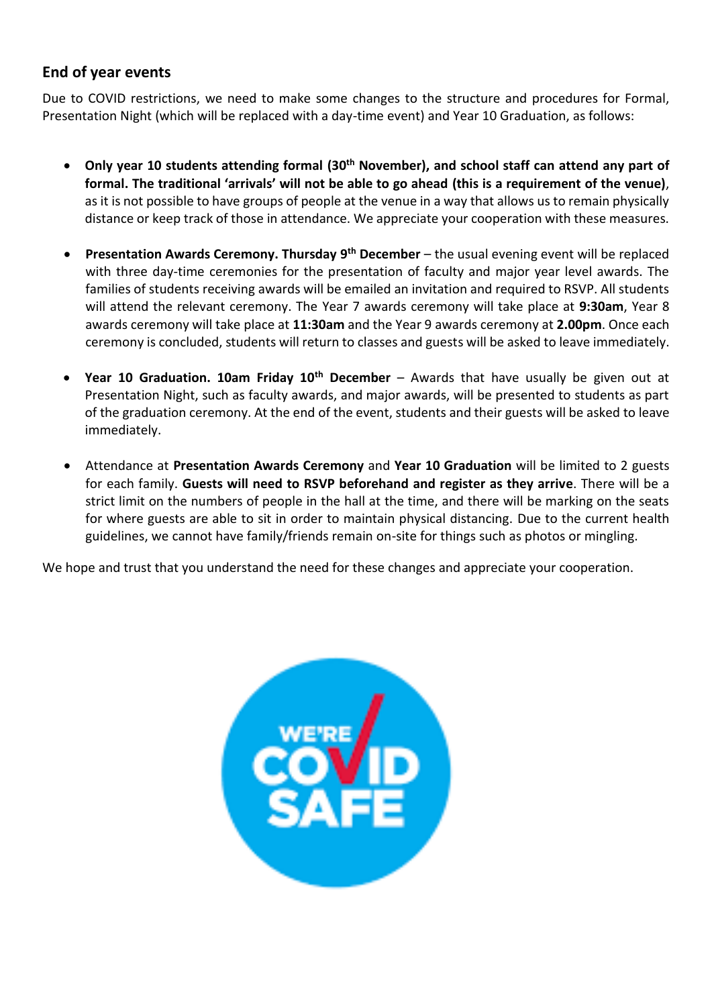#### **End of year events**

Due to COVID restrictions, we need to make some changes to the structure and procedures for Formal, Presentation Night (which will be replaced with a day-time event) and Year 10 Graduation, as follows:

- **Only year 10 students attending formal (30th November), and school staff can attend any part of formal. The traditional 'arrivals' will not be able to go ahead (this is a requirement of the venue)**, as it is not possible to have groups of people at the venue in a way that allows us to remain physically distance or keep track of those in attendance. We appreciate your cooperation with these measures.
- **Presentation Awards Ceremony. Thursday 9<sup>th</sup> December** the usual evening event will be replaced with three day-time ceremonies for the presentation of faculty and major year level awards. The families of students receiving awards will be emailed an invitation and required to RSVP. All students will attend the relevant ceremony. The Year 7 awards ceremony will take place at **9:30am**, Year 8 awards ceremony will take place at **11:30am** and the Year 9 awards ceremony at **2.00pm**. Once each ceremony is concluded, students will return to classes and guests will be asked to leave immediately.
- **Year 10 Graduation. 10am Friday 10th December** Awards that have usually be given out at Presentation Night, such as faculty awards, and major awards, will be presented to students as part of the graduation ceremony. At the end of the event, students and their guests will be asked to leave immediately.
- Attendance at **Presentation Awards Ceremony** and **Year 10 Graduation** will be limited to 2 guests for each family. **Guests will need to RSVP beforehand and register as they arrive**. There will be a strict limit on the numbers of people in the hall at the time, and there will be marking on the seats for where guests are able to sit in order to maintain physical distancing. Due to the current health guidelines, we cannot have family/friends remain on-site for things such as photos or mingling.

We hope and trust that you understand the need for these changes and appreciate your cooperation.

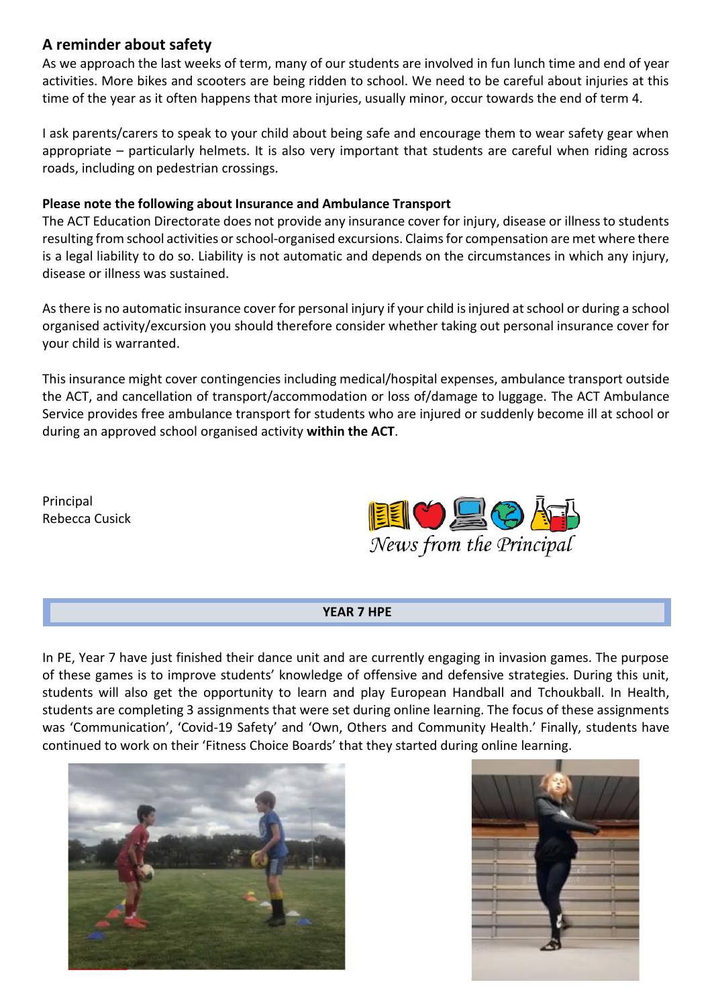#### **A reminder about safety**

As we approach the last weeks of term, many of our students are involved in fun lunch time and end of year activities. More bikes and scooters are being ridden to school. We need to be careful about injuries at this time of the year as it often happens that more injuries, usually minor, occur towards the end of term 4.

I ask parents/carers to speak to your child about being safe and encourage them to wear safety gear when appropriate – particularly helmets. It is also very important that students are careful when riding across roads, including on pedestrian crossings.

#### **Please note the following about Insurance and Ambulance Transport**

The ACT Education Directorate does not provide any insurance cover for injury, disease or illness to students resulting from school activities or school-organised excursions. Claims for compensation are met where there is a legal liability to do so. Liability is not automatic and depends on the circumstances in which any injury, disease or illness was sustained.

As there is no automatic insurance cover for personal injury if your child is injured at school or during a school organised activity/excursion you should therefore consider whether taking out personal insurance cover for your child is warranted.

This insurance might cover contingencies including medical/hospital expenses, ambulance transport outside the ACT, and cancellation of transport/accommodation or loss of/damage to luggage. The ACT Ambulance Service provides free ambulance transport for students who are injured or suddenly become ill at school or during an approved school organised activity **within the ACT**.

Principal Rebecca Cusick



#### **YEAR 7 HPE**

In PE, Year 7 have just finished their dance unit and are currently engaging in invasion games. The purpose of these games is to improve students' knowledge of offensive and defensive strategies. During this unit, students will also get the opportunity to learn and play European Handball and Tchoukball. In Health, students are completing 3 assignments that were set during online learning. The focus of these assignments was 'Communication', 'Covid-19 Safety' and 'Own, Others and Community Health.' Finally, students have continued to work on their 'Fitness Choice Boards' that they started during online learning.



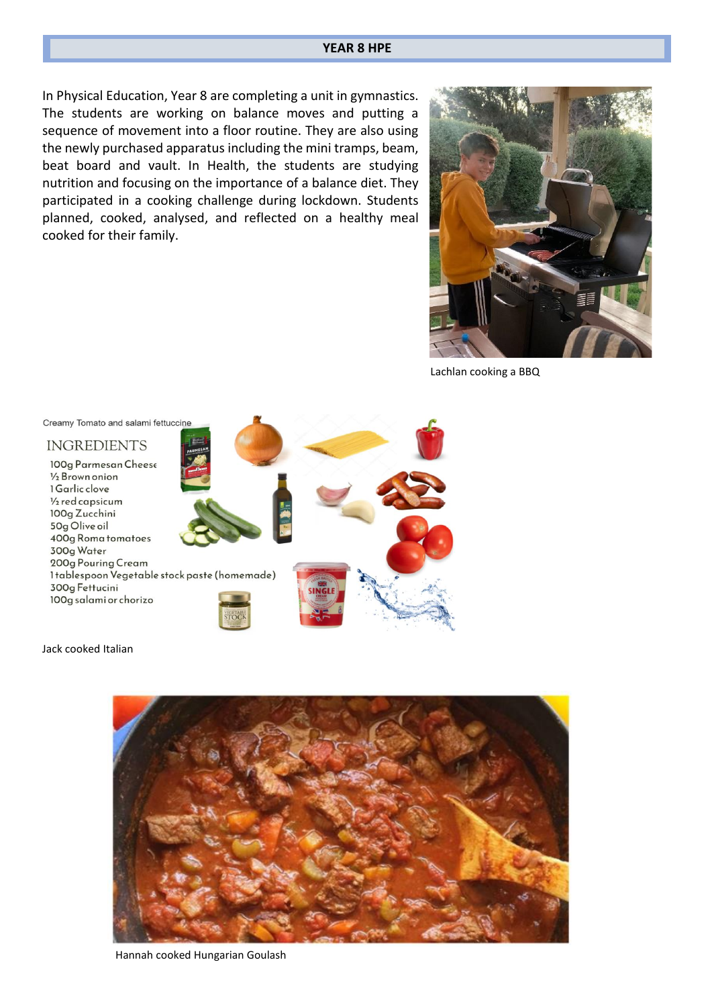#### **YEAR 8 HPE**

In Physical Education, Year 8 are completing a unit in gymnastics. The students are working on balance moves and putting a sequence of movement into a floor routine. They are also using the newly purchased apparatus including the mini tramps, beam, beat board and vault. In Health, the students are studying nutrition and focusing on the importance of a balance diet. They participated in a cooking challenge during lockdown. Students planned, cooked, analysed, and reflected on a healthy meal cooked for their family.



Lachlan cooking a BBQ



Jack cooked Italian



Hannah cooked Hungarian Goulash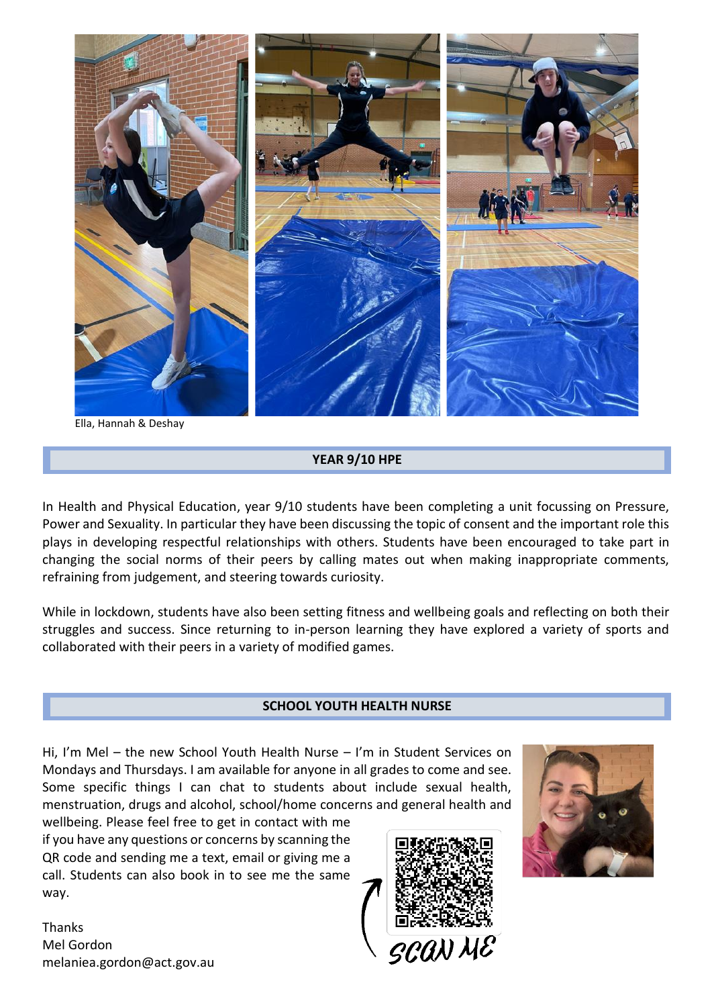

Ella, Hannah & Deshay

#### **YEAR 9/10 HPE**

In Health and Physical Education, year 9/10 students have been completing a unit focussing on Pressure, Power and Sexuality. In particular they have been discussing the topic of consent and the important role this plays in developing respectful relationships with others. Students have been encouraged to take part in changing the social norms of their peers by calling mates out when making inappropriate comments, refraining from judgement, and steering towards curiosity.

While in lockdown, students have also been setting fitness and wellbeing goals and reflecting on both their struggles and success. Since returning to in-person learning they have explored a variety of sports and collaborated with their peers in a variety of modified games.

#### **SCHOOL YOUTH HEALTH NURSE**

Hi, I'm Mel – the new School Youth Health Nurse – I'm in Student Services on Mondays and Thursdays. I am available for anyone in all grades to come and see. Some specific things I can chat to students about include sexual health, menstruation, drugs and alcohol, school/home concerns and general health and

wellbeing. Please feel free to get in contact with me if you have any questions or concerns by scanning the QR code and sending me a text, email or giving me a call. Students can also book in to see me the same way.

**Thanks** Mel Gordon melaniea.gordon@act.gov.au



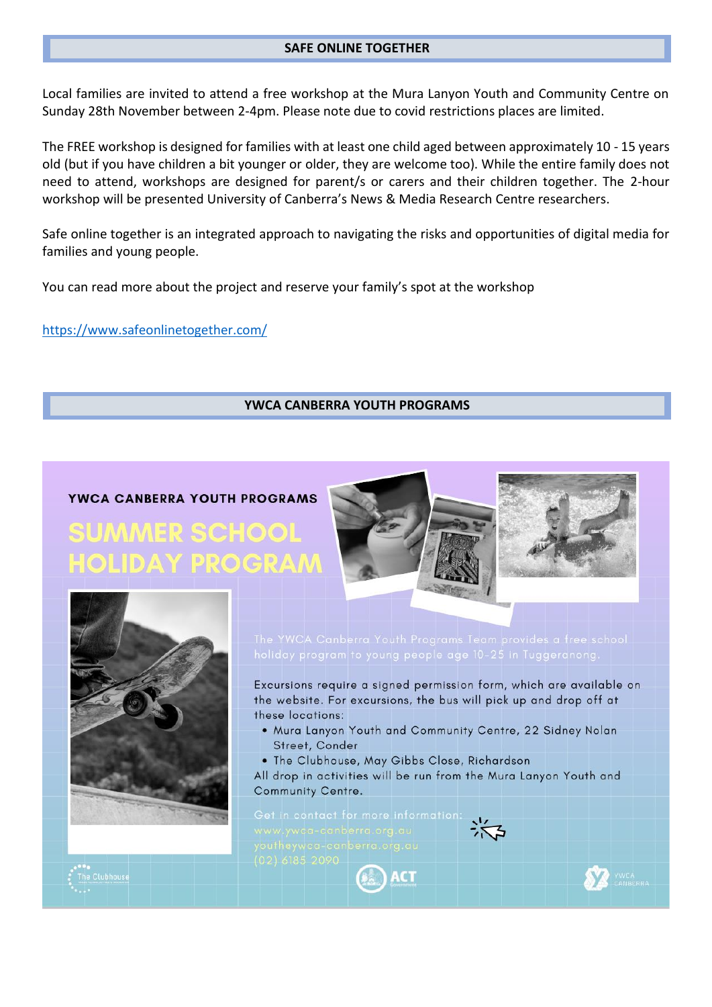#### **SAFE ONLINE TOGETHER**

Local families are invited to attend a free workshop at the Mura Lanyon Youth and Community Centre on Sunday 28th November between 2-4pm. Please note due to covid restrictions places are limited.

The FREE workshop is designed for families with at least one child aged between approximately 10 - 15 years old (but if you have children a bit younger or older, they are welcome too). While the entire family does not need to attend, workshops are designed for parent/s or carers and their children together. The 2-hour workshop will be presented University of Canberra's News & Media Research Centre researchers.

Safe online together is an integrated approach to navigating the risks and opportunities of digital media for families and young people.

You can read more about the project and reserve your family's spot at the workshop

<https://www.safeonlinetogether.com/>

#### **YWCA CANBERRA YOUTH PROGRAMS**

# YWCA CANBERRA YOUTH PROGRAMS

**;UMMER SCHOOL OLIDAY PROGRAN** 





Excursions require a signed permission form, which are available on the website. For excursions, the bus will pick up and drop off at these locations:

- . Mura Lanyon Youth and Community Centre, 22 Sidney Nolan Street, Conder
- . The Clubhouse, May Gibbs Close, Richardson

 $_{\mathbb{A}}$  ) act

All drop in activities will be run from the Mura Lanyon Youth and Community Centre.